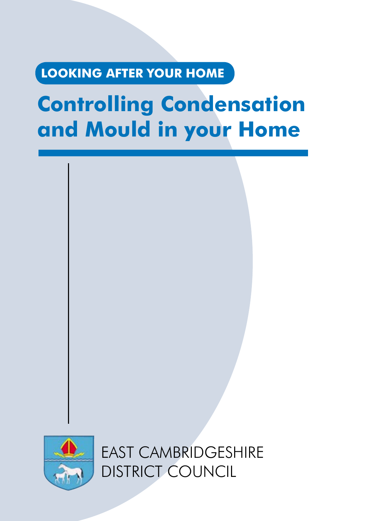# **LOOKING AFTER YOUR HOME**

# **Controlling Condensation and Mould in your Home**



EAST CAMBRIDGESHIRE DISTRICT COUNCIL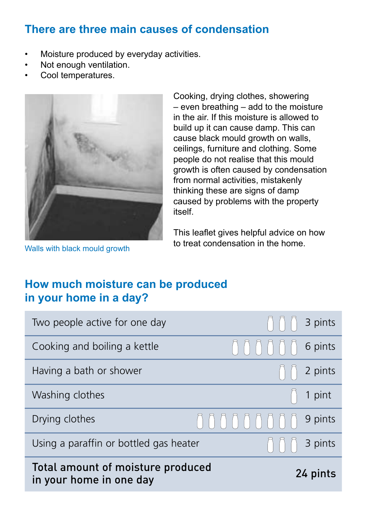# There are three main causes of condensation

- Moisture produced by everyday activities. • • Not enough ventilation.
- Not enough ventilation. •
- Cool temperatures. • Cooking comme even breathing even breathing  $\sim$  even breathing  $\sim$  and to the to the to the to the to the to the to the to the to the to the to the to the to the to the to the to the to the to the to the to the to the to



Walls with black mould growth

 $-$  even breathing  $-$  add to the moisture in the air. If this moisture is allowed to build up it can cause damp. This can cause black mould growth on walls, ceilings, furniture and clothing. Some people do not realise that this mould growth is often caused by condensation from normal activities, mistakenly iforn normal activities, mistakenly<br>thinking these are signs of damp amining these are signs or damp<br>caused by problems with the property itself. of damp caused by problems with proplemy<br>elf.

This leaflet gives helpful advice on how to treat condensation in the home.

# **How much moisture can be produced How much moisture can be produced in your home in a day? in your home in a day?**

| Total amount of moisture produced<br>24 pints<br>in your home in one day |                                                           |                                               |
|--------------------------------------------------------------------------|-----------------------------------------------------------|-----------------------------------------------|
| Using a paraffin or bottled gas heater<br>$\Box$                         |                                                           | 3 pints                                       |
| Drying clothes                                                           | UUUUUUUUU                                                 | 9 pints                                       |
| Washing clothes                                                          |                                                           | $\begin{bmatrix} 1 \\ 1 \end{bmatrix}$ 1 pint |
| Having a bath or shower                                                  |                                                           | $\bigcap_i \bigcap_i$ 2 pints                 |
| Cooking and boiling a kettle                                             | $\bigcap \bigcap \bigcap \bigcap \bigcap \bigcap$ 6 pints |                                               |
| Two people active for one day                                            |                                                           | $\bigcap \bigcap \bigcap$ 3 pints             |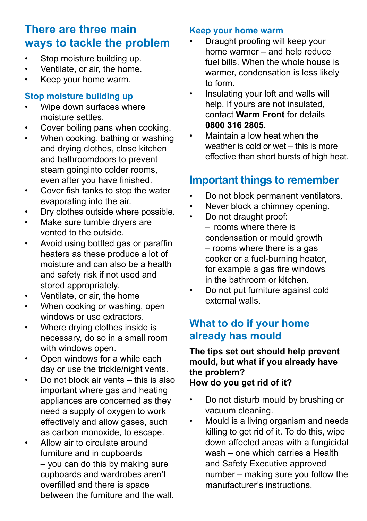## **There are three main ways to tackle the problem**

- Stop moisture building up. •
- Ventilate, or air, the home. •
- Keep your home warm. •

#### **Stop moisture building up**

- Wipe down surfaces where moisture settles. •
- Cover boiling pans when cooking. •
- When cooking, bathing or washing and drying clothes, close kitchen and bathroomdoors to prevent steam goinginto colder rooms. even after you have finished. •
- Cover fish tanks to stop the water evaporating into the air. •
- Dry clothes outside where possible. •
- Make sure tumble dryers are vented to the outside. •
- Avoid using bottled gas or paraffin heaters as these produce a lot of moisture and can also be a health and safety risk if not used and stored appropriately. •
- Ventilate, or air, the home •
- When cooking or washing, open windows or use extractors. •
- Where drying clothes inside is necessary, do so in a small room with windows open. •
- Open windows for a while each day or use the trickle/night vents. •
- Do not block air vents this is also important where gas and heating appliances are concerned as they need a supply of oxygen to work effectively and allow gases, such as carbon monoxide, to escape. •
- Allow air to circulate around furniture and in cupboards – you can do this by making sure cupboards and wardrobes aren't overfilled and there is space between the furniture and the wall. •

#### **Keep your home warm**

- Draught proofing will keep your home warmer – and help reduce fuel bills. When the whole house is warmer, condensation is less likely to form. •
- Insulating your loft and walls will help. If yours are not insulated. contact **Warm Front** for details **0800 316 2805.** •
- Maintain a low heat when the weather is cold or wet – this is more effective than short bursts of high heat. •

## **Important things to remember**

- Do not block permanent ventilators. •
- Never block a chimney opening. •
- Do not draught proof: – rooms where there is condensation or mould growth – rooms where there is a gas cooker or a fuel-burning heater, for example a gas fire windows in the bathroom or kitchen. •
- Do not put furniture against cold external walls. •

#### **What to do if your home already has mould**

#### **The tips set out should help prevent mould, but what if you already have the problem? How do you get rid of it?**

- Do not disturb mould by brushing or vacuum cleaning. •
- Mould is a living organism and needs killing to get rid of it. To do this, wipe down affected areas with a fungicidal wash – one which carries a Health and Safety Executive approved number – making sure you follow the manufacturer's instructions. •